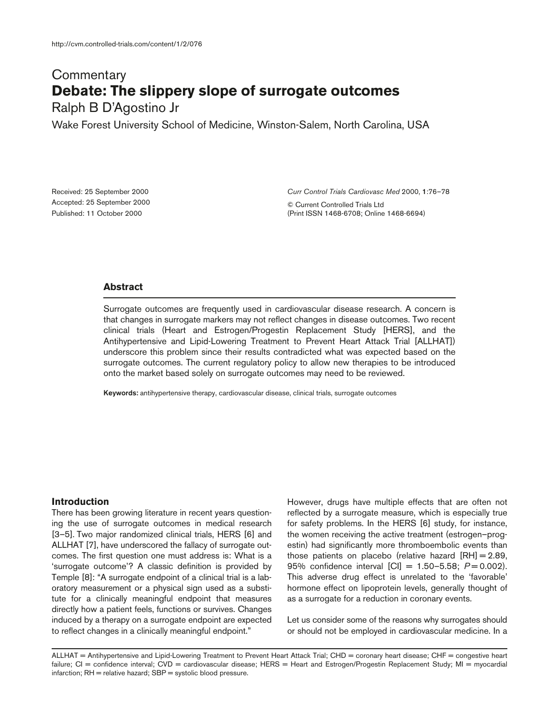# **Commentary Debate: The slippery slope of surrogate outcomes**

Ralph B D'Agostino Jr

Wake Forest University School of Medicine, Winston-Salem, North Carolina, USA

Received: 25 September 2000 Accepted: 25 September 2000 Published: 11 October 2000

*Curr Control Trials Cardiovasc Med* 2000, **1**:76–78

© Current Controlled Trials Ltd (Print ISSN 1468-6708; Online 1468-6694)

# **Abstract**

Surrogate outcomes are frequently used in cardiovascular disease research. A concern is that changes in surrogate markers may not reflect changes in disease outcomes. Two recent clinical trials (Heart and Estrogen/Progestin Replacement Study [HERS], and the Antihypertensive and Lipid-Lowering Treatment to Prevent Heart Attack Trial [ALLHAT]) underscore this problem since their results contradicted what was expected based on the surrogate outcomes. The current regulatory policy to allow new therapies to be introduced onto the market based solely on surrogate outcomes may need to be reviewed.

**Keywords:** antihypertensive therapy, cardiovascular disease, clinical trials, surrogate outcomes

# **Introduction**

There has been growing literature in recent years questioning the use of surrogate outcomes in medical research [3–5]. Two major randomized clinical trials, HERS [6] and ALLHAT [7], have underscored the fallacy of surrogate outcomes. The first question one must address is: What is a 'surrogate outcome'? A classic definition is provided by Temple [8]: "A surrogate endpoint of a clinical trial is a laboratory measurement or a physical sign used as a substitute for a clinically meaningful endpoint that measures directly how a patient feels, functions or survives. Changes induced by a therapy on a surrogate endpoint are expected to reflect changes in a clinically meaningful endpoint."

However, drugs have multiple effects that are often not reflected by a surrogate measure, which is especially true for safety problems. In the HERS [6] study, for instance, the women receiving the active treatment (estrogen–progestin) had significantly more thromboembolic events than those patients on placebo (relative hazard [RH] = 2.89, 95% confidence interval [CI] = 1.50–5.58; *P* = 0.002). This adverse drug effect is unrelated to the 'favorable' hormone effect on lipoprotein levels, generally thought of as a surrogate for a reduction in coronary events.

Let us consider some of the reasons why surrogates should or should not be employed in cardiovascular medicine. In a

ALLHAT = Antihypertensive and Lipid-Lowering Treatment to Prevent Heart Attack Trial; CHD = coronary heart disease; CHF = congestive heart failure; CI = confidence interval; CVD = cardiovascular disease; HERS = Heart and Estrogen/Progestin Replacement Study; MI = myocardial infarction; RH = relative hazard; SBP = systolic blood pressure.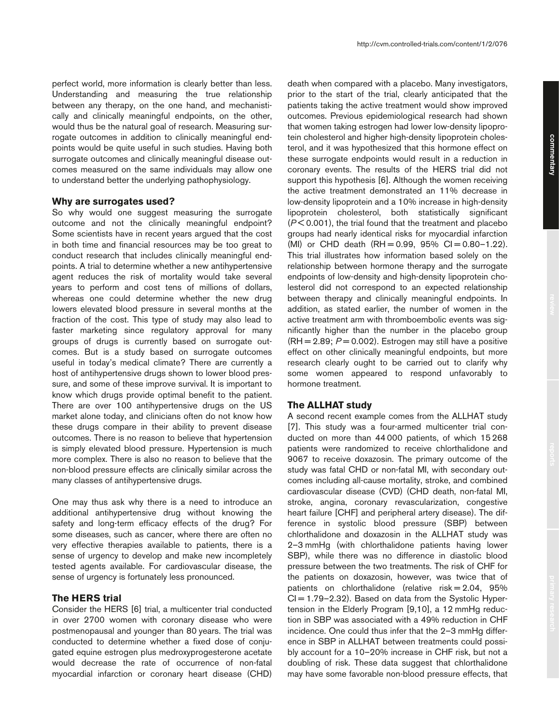perfect world, more information is clearly better than less. Understanding and measuring the true relationship between any therapy, on the one hand, and mechanistically and clinically meaningful endpoints, on the other, would thus be the natural goal of research. Measuring surrogate outcomes in addition to clinically meaningful endpoints would be quite useful in such studies. Having both surrogate outcomes and clinically meaningful disease outcomes measured on the same individuals may allow one to understand better the underlying pathophysiology.

#### **Why are surrogates used?**

So why would one suggest measuring the surrogate outcome and not the clinically meaningful endpoint? Some scientists have in recent years argued that the cost in both time and financial resources may be too great to conduct research that includes clinically meaningful endpoints. A trial to determine whether a new antihypertensive agent reduces the risk of mortality would take several years to perform and cost tens of millions of dollars, whereas one could determine whether the new drug lowers elevated blood pressure in several months at the fraction of the cost. This type of study may also lead to faster marketing since regulatory approval for many groups of drugs is currently based on surrogate outcomes. But is a study based on surrogate outcomes useful in today's medical climate? There are currently a host of antihypertensive drugs shown to lower blood pressure, and some of these improve survival. It is important to know which drugs provide optimal benefit to the patient. There are over 100 antihypertensive drugs on the US market alone today, and clinicians often do not know how these drugs compare in their ability to prevent disease outcomes. There is no reason to believe that hypertension is simply elevated blood pressure. Hypertension is much more complex. There is also no reason to believe that the non-blood pressure effects are clinically similar across the many classes of antihypertensive drugs.

One may thus ask why there is a need to introduce an additional antihypertensive drug without knowing the safety and long-term efficacy effects of the drug? For some diseases, such as cancer, where there are often no very effective therapies available to patients, there is a sense of urgency to develop and make new incompletely tested agents available. For cardiovascular disease, the sense of urgency is fortunately less pronounced.

# **The HERS trial**

Consider the HERS [6] trial, a multicenter trial conducted in over 2700 women with coronary disease who were postmenopausal and younger than 80 years. The trial was conducted to determine whether a fixed dose of conjugated equine estrogen plus medroxyprogesterone acetate would decrease the rate of occurrence of non-fatal myocardial infarction or coronary heart disease (CHD)

death when compared with a placebo. Many investigators, prior to the start of the trial, clearly anticipated that the patients taking the active treatment would show improved outcomes. Previous epidemiological research had shown that women taking estrogen had lower low-density lipoprotein cholesterol and higher high-density lipoprotein cholesterol, and it was hypothesized that this hormone effect on these surrogate endpoints would result in a reduction in coronary events. The results of the HERS trial did not support this hypothesis [6]. Although the women receiving the active treatment demonstrated an 11% decrease in low-density lipoprotein and a 10% increase in high-density lipoprotein cholesterol, both statistically significant (*P* < 0.001), the trial found that the treatment and placebo groups had nearly identical risks for myocardial infarction (MI) or CHD death  $(RH = 0.99, 95\% \text{ Cl} = 0.80-1.22)$ . This trial illustrates how information based solely on the relationship between hormone therapy and the surrogate endpoints of low-density and high-density lipoprotein cholesterol did not correspond to an expected relationship between therapy and clinically meaningful endpoints. In addition, as stated earlier, the number of women in the active treatment arm with thromboembolic events was significantly higher than the number in the placebo group  $(RH = 2.89; P = 0.002)$ . Estrogen may still have a positive effect on other clinically meaningful endpoints, but more research clearly ought to be carried out to clarify why some women appeared to respond unfavorably to hormone treatment.

### **The ALLHAT study**

A second recent example comes from the ALLHAT study [7]. This study was a four-armed multicenter trial conducted on more than 44 000 patients, of which 15 268 patients were randomized to receive chlorthalidone and 9067 to receive doxazosin. The primary outcome of the study was fatal CHD or non-fatal MI, with secondary outcomes including all-cause mortality, stroke, and combined cardiovascular disease (CVD) (CHD death, non-fatal MI, stroke, angina, coronary revascularization, congestive heart failure [CHF] and peripheral artery disease). The difference in systolic blood pressure (SBP) between chlorthalidone and doxazosin in the ALLHAT study was 2–3 mmHg (with chlorthalidone patients having lower SBP), while there was no difference in diastolic blood pressure between the two treatments. The risk of CHF for the patients on doxazosin, however, was twice that of patients on chlorthalidone (relative  $risk = 2.04$ ,  $95\%$  $Cl = 1.79 - 2.32$ . Based on data from the Systolic Hypertension in the Elderly Program [9,10], a 12 mmHg reduction in SBP was associated with a 49% reduction in CHF incidence. One could thus infer that the 2–3 mmHg difference in SBP in ALLHAT between treatments could possibly account for a 10–20% increase in CHF risk, but not a doubling of risk. These data suggest that chlorthalidone may have some favorable non-blood pressure effects, that